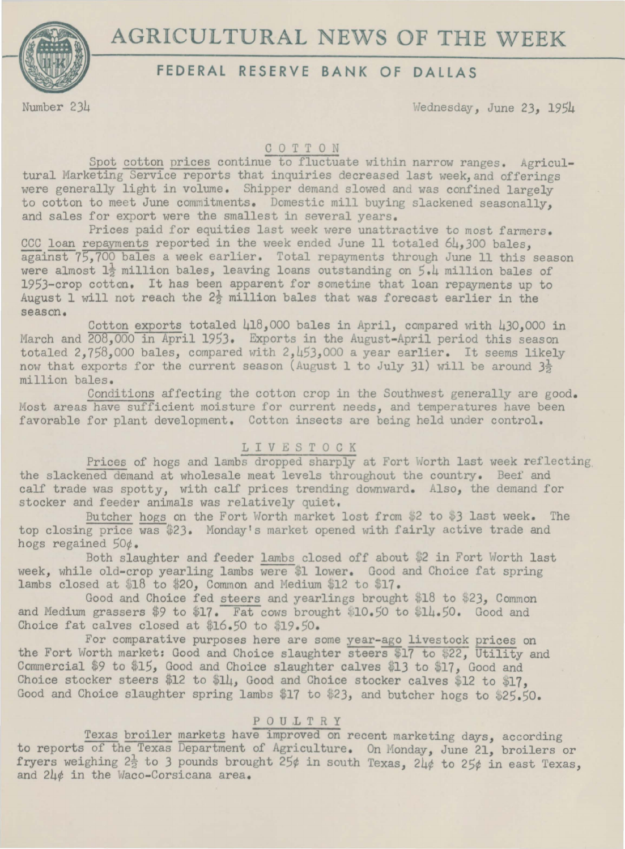

# ${\bf AGRICULTURAL\,\,\, NEWS\,\,\,OF\,\,\,THE\,\,\, WEK} \over {\bf FEDERAL\,\,\, RESERVE\,\,\, BANK\,\,\,OF\,\,\, DALAS}}$

Number 234 Wednesday, June *23,* 1954

# COTTON

Spot cotton prices continue to fluctuate within narrow ranges. Agricultural Marketing Service reports that inquiries decreased last week, and offerings were generally light in volume. Shipper demand slowed and was confined largely to cotton to meet June commitments. Domestic mill buying slackened seasonally, and sales for export were the smallest in several years.

Prices paid for equities last week were unattractive to most farmers. CCC loan repayments reported in the week ended June 11 totaled  $6\mu$ , 300 bales. against 75,700 bales a week earlier. Total repayments through June 11 this season were almost  $1\frac{1}{2}$  million bales, leaving loans outstanding on  $5.4$  million bales of 1953-crop cotton. It has been apparent for sometime that loan repayments up to August 1 will not reach the  $2\frac{1}{2}$  million bales that was forecast earlier in the season.

Cotton exports totaled 418,000 bales in April, compared with 430,000 in March and  $208,000$  in April 1953. Exports in the August-April period this season totaled 2,758,000 bales, compared with 2,453,000 a year earlier. It seems likely now that exports for the current season (August 1 to July 31) will be around  $3\frac{1}{2}$ million bales.

Conditions affecting the cotton crop in the Southwest generally are good. Most areas have sufficient moisture for current needs, and temperatures have been favorable for plant development. Cotton insects are being held under control.

## LIVESTOCK

Prices of hogs and lambs dropped sharply at Fort Worth last week reflecting the slackened demand at wholesale meat levels throughout the country. Beef and calf trade was spotty, with calf prices trending downward. Also, the demand for stocker and feeder animals was relatively quiet,

Butcher hogs on the Fort Worth market lost from \$2 to \$3 last week. The top closing price was \$23. Monday's market opened with fairly active trade and hogs regained 50¢.

Both slaughter and feeder lambs closed off about \$2 in Fort Worth last week, while old-crop yearling lambs were \$1 lower. Good and Choice fat spring lambs closed at  $$18$  to  $$20$ , Common and Medium  $$12$  to  $$17$ .

Good and Choice fed steers and yearlings brought \$18 to \$23, Common and Medium grassers  $$9$  to  $$17$ . Fat cows brought  $$10.50$  to  $$14.50$ . Good and Choice fat calves closed at  $$16.50$  to  $$19.50$ .

For comparative purposes here are some year-ago livestock prices on the Fort Worth market: Good and Choice slaughter steers \$17 to \$22, Utility and Commercial \$9 to \$15, Good and Choice slaughter calves \$13 to \$17, Good and Choice stocker steers \$12 to \$14, Good and Choice stocker calves \$12 to \$17. Good and Choice slaughter spring lambs \$17 to \$23, and butcher hogs to  $$25.50.$ 

## P 0 U .L T R Y

Texas broiler markets have improved on recent marketing days, according to reports of the Texas Department of Agriculture. On Monday, June 21, broilers or fryers weighing  $2\frac{1}{2}$  to 3 pounds brought  $25¢$  in south Texas,  $2\frac{1}{4}$  to  $25¢$  in east Texas, and 24¢ in the Waco-Corsicana area.